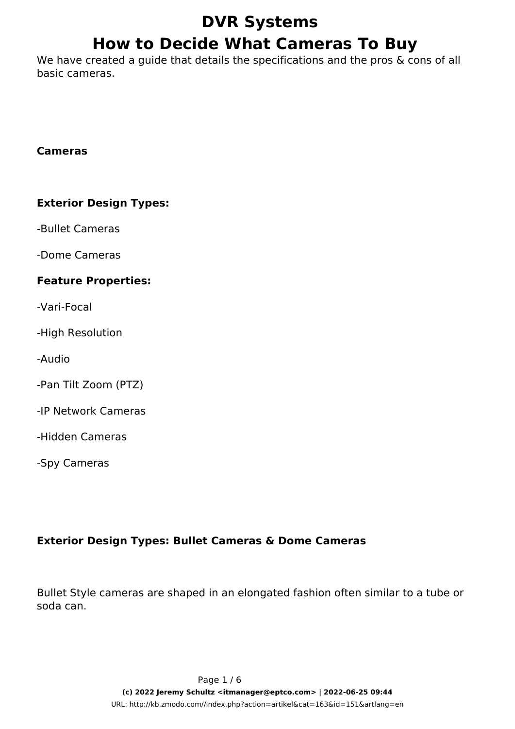# **DVR Systems How to Decide What Cameras To Buy**

We have created a guide that details the specifications and the pros & cons of all basic cameras.

#### **Cameras**

#### **Exterior Design Types:**

-Bullet Cameras

-Dome Cameras

#### **Feature Properties:**

-Vari-Focal

-High Resolution

-Audio

-Pan Tilt Zoom (PTZ)

-IP Network Cameras

-Hidden Cameras

-Spy Cameras

### **Exterior Design Types: Bullet Cameras & Dome Cameras**

Bullet Style cameras are shaped in an elongated fashion often similar to a tube or soda can.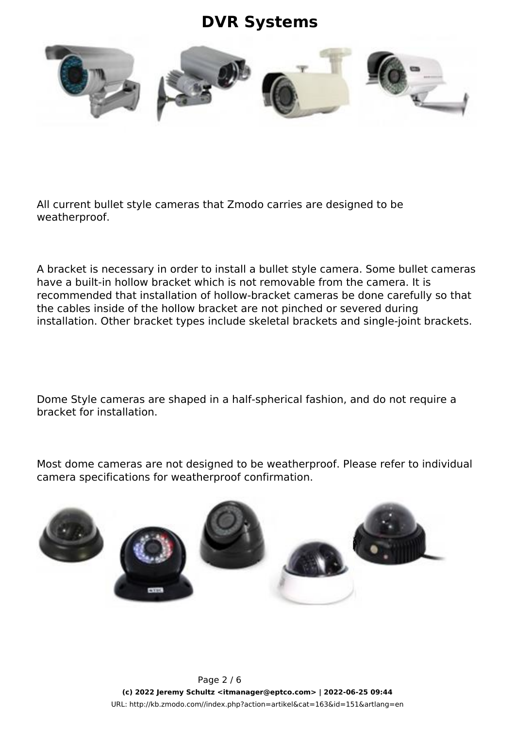

All current bullet style cameras that Zmodo carries are designed to be weatherproof.

A bracket is necessary in order to install a bullet style camera. Some bullet cameras have a built-in hollow bracket which is not removable from the camera. It is recommended that installation of hollow-bracket cameras be done carefully so that the cables inside of the hollow bracket are not pinched or severed during installation. Other bracket types include skeletal brackets and single-joint brackets.

Dome Style cameras are shaped in a half-spherical fashion, and do not require a bracket for installation.

Most dome cameras are not designed to be weatherproof. Please refer to individual camera specifications for weatherproof confirmation.

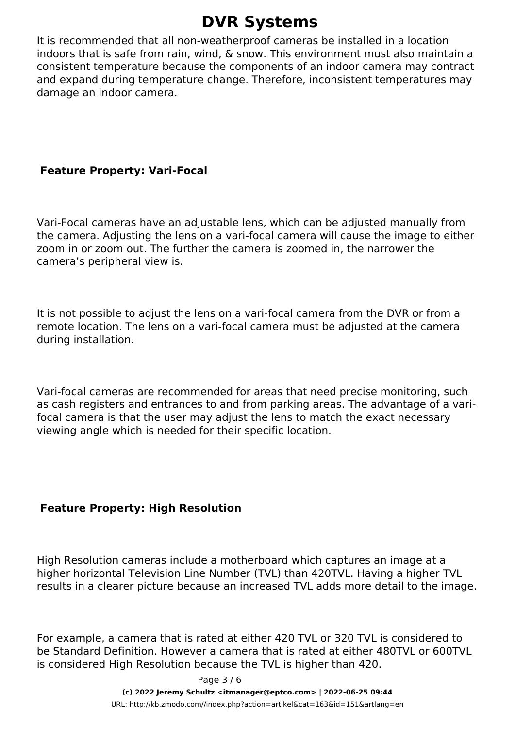It is recommended that all non-weatherproof cameras be installed in a location indoors that is safe from rain, wind, & snow. This environment must also maintain a consistent temperature because the components of an indoor camera may contract and expand during temperature change. Therefore, inconsistent temperatures may damage an indoor camera.

### **Feature Property: Vari-Focal**

Vari-Focal cameras have an adjustable lens, which can be adjusted manually from the camera. Adjusting the lens on a vari-focal camera will cause the image to either zoom in or zoom out. The further the camera is zoomed in, the narrower the camera's peripheral view is.

It is not possible to adjust the lens on a vari-focal camera from the DVR or from a remote location. The lens on a vari-focal camera must be adjusted at the camera during installation.

Vari-focal cameras are recommended for areas that need precise monitoring, such as cash registers and entrances to and from parking areas. The advantage of a varifocal camera is that the user may adjust the lens to match the exact necessary viewing angle which is needed for their specific location.

### **Feature Property: High Resolution**

High Resolution cameras include a motherboard which captures an image at a higher horizontal Television Line Number (TVL) than 420TVL. Having a higher TVL results in a clearer picture because an increased TVL adds more detail to the image.

For example, a camera that is rated at either 420 TVL or 320 TVL is considered to be Standard Definition. However a camera that is rated at either 480TVL or 600TVL is considered High Resolution because the TVL is higher than 420.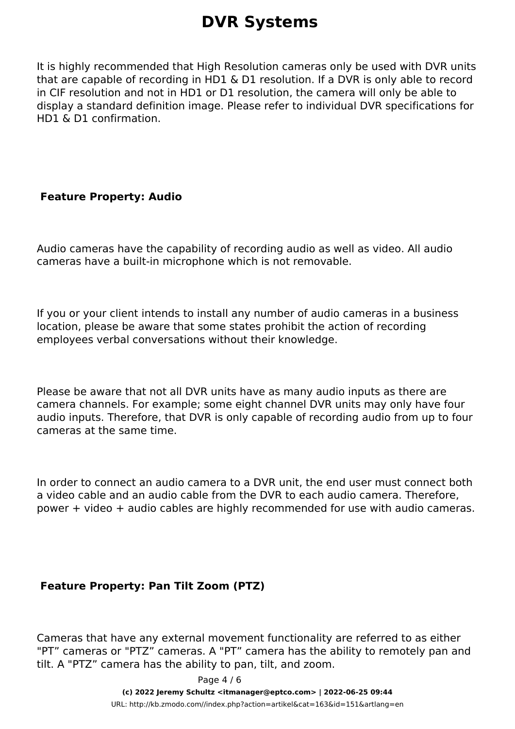It is highly recommended that High Resolution cameras only be used with DVR units that are capable of recording in HD1 & D1 resolution. If a DVR is only able to record in CIF resolution and not in HD1 or D1 resolution, the camera will only be able to display a standard definition image. Please refer to individual DVR specifications for HD1 & D1 confirmation.

#### **Feature Property: Audio**

Audio cameras have the capability of recording audio as well as video. All audio cameras have a built-in microphone which is not removable.

If you or your client intends to install any number of audio cameras in a business location, please be aware that some states prohibit the action of recording employees verbal conversations without their knowledge.

Please be aware that not all DVR units have as many audio inputs as there are camera channels. For example; some eight channel DVR units may only have four audio inputs. Therefore, that DVR is only capable of recording audio from up to four cameras at the same time.

In order to connect an audio camera to a DVR unit, the end user must connect both a video cable and an audio cable from the DVR to each audio camera. Therefore, power + video + audio cables are highly recommended for use with audio cameras.

### **Feature Property: Pan Tilt Zoom (PTZ)**

Cameras that have any external movement functionality are referred to as either "PT" cameras or "PTZ" cameras. A "PT" camera has the ability to remotely pan and tilt. A "PTZ" camera has the ability to pan, tilt, and zoom.

> Page 4 / 6 **(c) 2022 Jeremy Schultz <itmanager@eptco.com> | 2022-06-25 09:44** [URL: http://kb.zmodo.com//index.php?action=artikel&cat=163&id=151&artlang=en](http://kb.zmodo.com//index.php?action=artikel&cat=163&id=151&artlang=en)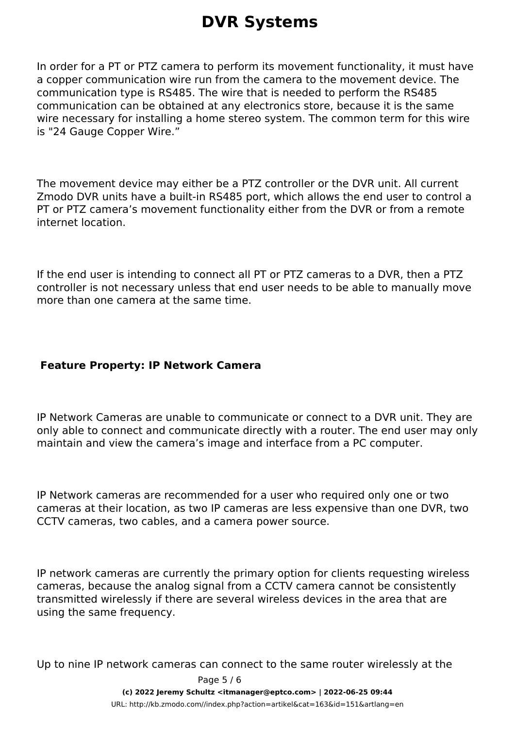In order for a PT or PTZ camera to perform its movement functionality, it must have a copper communication wire run from the camera to the movement device. The communication type is RS485. The wire that is needed to perform the RS485 communication can be obtained at any electronics store, because it is the same wire necessary for installing a home stereo system. The common term for this wire is "24 Gauge Copper Wire."

The movement device may either be a PTZ controller or the DVR unit. All current Zmodo DVR units have a built-in RS485 port, which allows the end user to control a PT or PTZ camera's movement functionality either from the DVR or from a remote internet location.

If the end user is intending to connect all PT or PTZ cameras to a DVR, then a PTZ controller is not necessary unless that end user needs to be able to manually move more than one camera at the same time.

#### **Feature Property: IP Network Camera**

IP Network Cameras are unable to communicate or connect to a DVR unit. They are only able to connect and communicate directly with a router. The end user may only maintain and view the camera's image and interface from a PC computer.

IP Network cameras are recommended for a user who required only one or two cameras at their location, as two IP cameras are less expensive than one DVR, two CCTV cameras, two cables, and a camera power source.

IP network cameras are currently the primary option for clients requesting wireless cameras, because the analog signal from a CCTV camera cannot be consistently transmitted wirelessly if there are several wireless devices in the area that are using the same frequency.

Up to nine IP network cameras can connect to the same router wirelessly at the